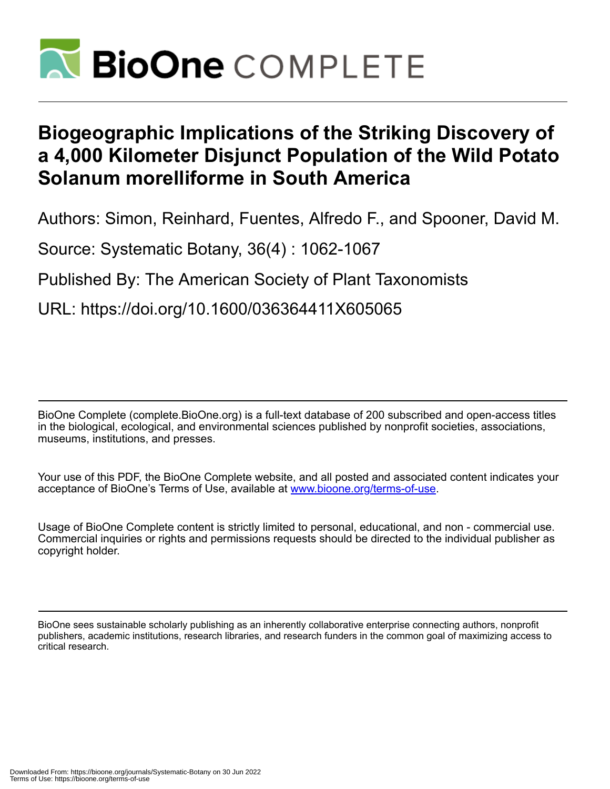

# **Biogeographic Implications of the Striking Discovery of a 4,000 Kilometer Disjunct Population of the Wild Potato Solanum morelliforme in South America**

Authors: Simon, Reinhard, Fuentes, Alfredo F., and Spooner, David M.

Source: Systematic Botany, 36(4) : 1062-1067

Published By: The American Society of Plant Taxonomists

URL: https://doi.org/10.1600/036364411X605065

BioOne Complete (complete.BioOne.org) is a full-text database of 200 subscribed and open-access titles in the biological, ecological, and environmental sciences published by nonprofit societies, associations, museums, institutions, and presses.

Your use of this PDF, the BioOne Complete website, and all posted and associated content indicates your acceptance of BioOne's Terms of Use, available at www.bioone.org/terms-of-use.

Usage of BioOne Complete content is strictly limited to personal, educational, and non - commercial use. Commercial inquiries or rights and permissions requests should be directed to the individual publisher as copyright holder.

BioOne sees sustainable scholarly publishing as an inherently collaborative enterprise connecting authors, nonprofit publishers, academic institutions, research libraries, and research funders in the common goal of maximizing access to critical research.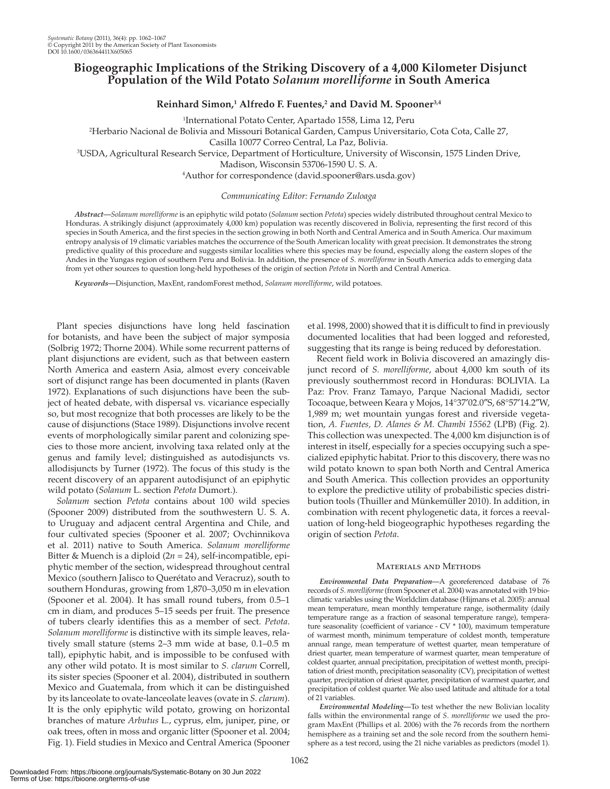## **Biogeographic Implications of the Striking Discovery of a 4,000 Kilometer Disjunct Population of the Wild Potato** *Solanum morelliforme* **in South America**

### $\bf{Reinhard~Simon,^1~Alfredo~F.~Fuentes,^2~and~David~M.~Spooner^{3,4}}$

<sup>1</sup>International Potato Center, Apartado 1558, Lima 12, Peru

International Potato Center, Apartado 1558, Lima 12, Peru 2 Herbario Nacional de Bolivia and Missouri Botanical Garden, Campus Universitario, Cota Cota, Calle 27,

Casilla 10077 Correo Central, La Paz, Bolivia. 3 USDA, Agricultural Research Service, Department of Horticulture, University of Wisconsin, 1575 Linden Drive,

Madison, Wisconsin 53706-1590 U.S.A.

<sup>4</sup>Author for correspondence (david.spooner@ars.usda.gov)

#### *Communicating Editor: Fernando Zuloaga*

 *Abstract—Solanum morelliforme* is an epiphytic wild potato ( *Solanum* section *Petota* ) species widely distributed throughout central Mexico to Honduras. A strikingly disjunct (approximately 4,000 km) population was recently discovered in Bolivia, representing the first record of this species in South America, and the first species in the section growing in both North and Central America and in South America. Our maximum entropy analysis of 19 climatic variables matches the occurrence of the South American locality with great precision. It demonstrates the strong predictive quality of this procedure and suggests similar localities where this species may be found, especially along the eastern slopes of the Andes in the Yungas region of southern Peru and Bolivia. In addition, the presence of *S. morelliforme* in South America adds to emerging data from yet other sources to question long-held hypotheses of the origin of section *Petota* in North and Central America.

Keywords--Disjunction, MaxEnt, randomForest method, Solanum morelliforme, wild potatoes.

 Plant species disjunctions have long held fascination for botanists, and have been the subject of major symposia (Solbrig 1972; Thorne 2004). While some recurrent patterns of plant disjunctions are evident, such as that between eastern North America and eastern Asia, almost every conceivable sort of disjunct range has been documented in plants (Raven 1972). Explanations of such disjunctions have been the subject of heated debate, with dispersal vs. vicariance especially so, but most recognize that both processes are likely to be the cause of disjunctions (Stace 1989). Disjunctions involve recent events of morphologically similar parent and colonizing species to those more ancient, involving taxa related only at the genus and family level; distinguished as autodisjuncts vs. allodisjuncts by Turner (1972) . The focus of this study is the recent discovery of an apparent autodisjunct of an epiphytic wild potato ( *Solanum* L. section *Petota* Dumort.).

*Solanum* section *Petota* contains about 100 wild species (Spooner 2009) distributed from the southwestern U.S. A. to Uruguay and adjacent central Argentina and Chile, and four cultivated species (Spooner et al. 2007; Ovchinnikova et al. 2011 ) native to South America. *Solanum morelliforme* Bitter & Muench is a diploid  $(2n = 24)$ , self-incompatible, epiphytic member of the section, widespread throughout central Mexico (southern Jalisco to Querétato and Veracruz), south to southern Honduras, growing from 1,870–3,050 m in elevation (Spooner et al. 2004). It has small round tubers, from  $0.5-1$ cm in diam, and produces 5–15 seeds per fruit. The presence of tubers clearly identifies this as a member of sect. *Petota* . *Solanum morelliforme* is distinctive with its simple leaves, relatively small stature (stems 2–3 mm wide at base, 0.1–0.5 m tall), epiphytic habit, and is impossible to be confused with any other wild potato. It is most similar to *S. clarum* Correll, its sister species (Spooner et al. 2004), distributed in southern Mexico and Guatemala, from which it can be distinguished by its lanceolate to ovate-lanceolate leaves (ovate in *S. clarum* ). It is the only epiphytic wild potato, growing on horizontal branches of mature *Arbutus* L., cyprus, elm, juniper, pine, or oak trees, often in moss and organic litter (Spooner et al. 2004; Fig. 1). Field studies in Mexico and Central America (Spooner

et al. 1998, 2000) showed that it is difficult to find in previously documented localities that had been logged and reforested, suggesting that its range is being reduced by deforestation.

 Recent field work in Bolivia discovered an amazingly disjunct record of *S. morelliforme*, about 4,000 km south of its previously southernmost record in Honduras: BOLIVIA. La Paz: Prov. Franz Tamayo, Parque Nacional Madidi, sector Tocoaque, between Keara y Mojos, 14°37′02.0″S, 68°57′14.2″W, 1,989 m; wet mountain yungas forest and riverside vegetation, *A. Fuentes, D. Alanes & M. Chambi 15562* (LPB) (Fig. 2). This collection was unexpected. The 4,000 km disjunction is of interest in itself, especially for a species occupying such a specialized epiphytic habitat. Prior to this discovery, there was no wild potato known to span both North and Central America and South America. This collection provides an opportunity to explore the predictive utility of probabilistic species distribution tools (Thuiller and Münkemüller 2010). In addition, in combination with recent phylogenetic data, it forces a reevaluation of long-held biogeographic hypotheses regarding the origin of section *Petota* .

#### MATERIALS AND METHODS

Environmental Data Preparation-A georeferenced database of 76 records of *S. morelliforme* (from Spooner et al. 2004) was annotated with 19 bioclimatic variables using the Worldclim database (Hijmans et al. 2005): annual mean temperature, mean monthly temperature range, isothermality (daily temperature range as a fraction of seasonal temperature range), temperature seasonality (coefficient of variance - CV \* 100), maximum temperature of warmest month, minimum temperature of coldest month, temperature annual range, mean temperature of wettest quarter, mean temperature of driest quarter, mean temperature of warmest quarter, mean temperature of coldest quarter, annual precipitation, precipitation of wettest month, precipitation of driest month, precipitation seasonality (CV), precipitation of wettest quarter, precipitation of driest quarter, precipitation of warmest quarter, and precipitation of coldest quarter. We also used latitude and altitude for a total of 21 variables.

 *Environmental Modeling—* To test whether the new Bolivian locality falls within the environmental range of *S* . *morelliforme* we used the program MaxEnt (Phillips et al. 2006) with the 76 records from the northern hemisphere as a training set and the sole record from the southern hemisphere as a test record, using the 21 niche variables as predictors (model 1).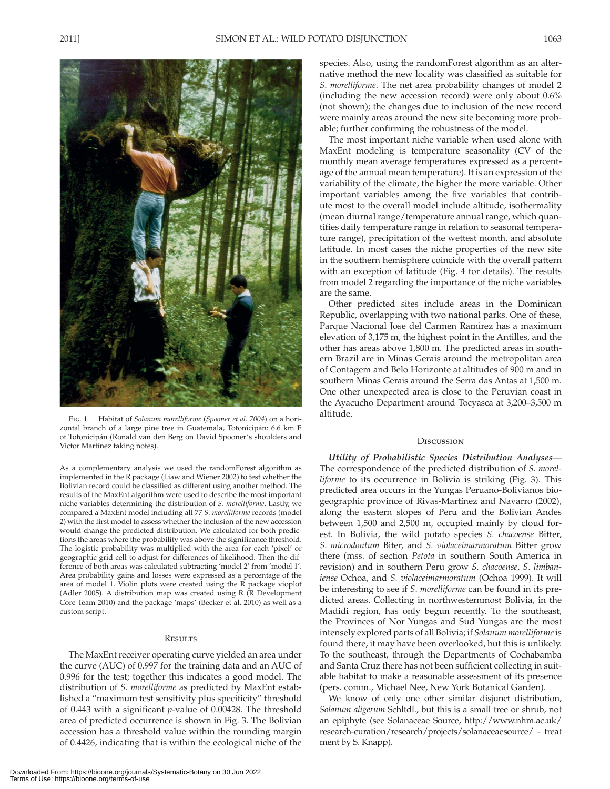

 Fig. 1. Habitat of *Solanum morelliforme* ( *Spooner et al. 7004* ) on a horizontal branch of a large pine tree in Guatemala, Totonicipán: 6.6 km E of Totonicipán (Ronald van den Berg on David Spooner's shoulders and Victor Martínez taking notes).

As a complementary analysis we used the randomForest algorithm as implemented in the R package (Liaw and Wiener 2002) to test whether the Bolivian record could be classified as different using another method. The results of the MaxEnt algorithm were used to describe the most important niche variables determining the distribution of *S* . *morelliforme* . Lastly, we compared a MaxEnt model including all 77 *S* . *morelliforme* records (model 2) with the first model to assess whether the inclusion of the new accession would change the predicted distribution. We calculated for both predictions the areas where the probability was above the significance threshold. The logistic probability was multiplied with the area for each 'pixel' or geographic grid cell to adjust for differences of likelihood. Then the difference of both areas was calculated subtracting 'model 2' from 'model 1'. Area probability gains and losses were expressed as a percentage of the area of model 1. Violin plots were created using the R package vioplot (Adler 2005). A distribution map was created using R (R Development Core Team 2010) and the package 'maps' (Becker et al. 2010) as well as a custom script.

#### **RESULTS**

 The MaxEnt receiver operating curve yielded an area under the curve (AUC) of 0.997 for the training data and an AUC of 0.996 for the test; together this indicates a good model. The distribution of *S* . *morelliforme* as predicted by MaxEnt established a "maximum test sensitivity plus specificity" threshold of 0.443 with a significant *p* -value of 0.00428. The threshold area of predicted occurrence is shown in Fig. 3. The Bolivian accession has a threshold value within the rounding margin of 0.4426, indicating that is within the ecological niche of the species. Also, using the randomForest algorithm as an alternative method the new locality was classified as suitable for *S* . *morelliforme* . The net area probability changes of model 2 (including the new accession record) were only about 0.6% (not shown); the changes due to inclusion of the new record were mainly areas around the new site becoming more probable; further confirming the robustness of the model.

 The most important niche variable when used alone with MaxEnt modeling is temperature seasonality (CV of the monthly mean average temperatures expressed as a percentage of the annual mean temperature). It is an expression of the variability of the climate, the higher the more variable. Other important variables among the five variables that contribute most to the overall model include altitude, isothermality (mean diurnal range/temperature annual range, which quantifies daily temperature range in relation to seasonal temperature range), precipitation of the wettest month, and absolute latitude. In most cases the niche properties of the new site in the southern hemisphere coincide with the overall pattern with an exception of latitude (Fig. 4 for details). The results from model 2 regarding the importance of the niche variables are the same.

 Other predicted sites include areas in the Dominican Republic, overlapping with two national parks. One of these, Parque Nacional Jose del Carmen Ramirez has a maximum elevation of 3,175 m, the highest point in the Antilles, and the other has areas above 1,800 m. The predicted areas in southern Brazil are in Minas Gerais around the metropolitan area of Contagem and Belo Horizonte at altitudes of 900 m and in southern Minas Gerais around the Serra das Antas at 1,500 m. One other unexpected area is close to the Peruvian coast in the Ayacucho Department around Tocyasca at 3,200–3,500 m altitude.

#### **DISCUSSION**

 *Utility of Probabilistic Species Distribution Analyses—* The correspondence of the predicted distribution of *S. morelliforme* to its occurrence in Bolivia is striking (Fig. 3). This predicted area occurs in the Yungas Peruano-Bolivianos biogeographic province of Rivas-Martínez and Navarro (2002), along the eastern slopes of Peru and the Bolivian Andes between 1,500 and 2,500 m, occupied mainly by cloud forest. In Bolivia, the wild potato species *S. chacoense* Bitter, *S* . *microdontum* Biter, and *S. violaceimarmoratum* Bitter grow there (mss. of section *Petota* in southern South America in revision) and in southern Peru grow *S. chacoense*, *S. limbaniense* Ochoa, and *S. violaceimarmoratum* (Ochoa 1999). It will be interesting to see if *S* . *morelliforme* can be found in its predicted areas. Collecting in northwesternmost Bolivia, in the Madidi region, has only begun recently. To the southeast, the Provinces of Nor Yungas and Sud Yungas are the most intensely explored parts of all Bolivia; if *Solanum morelliforme* is found there, it may have been overlooked, but this is unlikely. To the southeast, through the Departments of Cochabamba and Santa Cruz there has not been sufficient collecting in suitable habitat to make a reasonable assessment of its presence (pers. comm., Michael Nee, New York Botanical Garden).

 We know of only one other similar disjunct distribution, *Solanum aligerum* Schltdl., but this is a small tree or shrub, not an epiphyte (see Solanaceae Source, http://www.nhm.ac.uk/ research-curation/research/projects/solanaceaesource/ - treat ment by S. Knapp).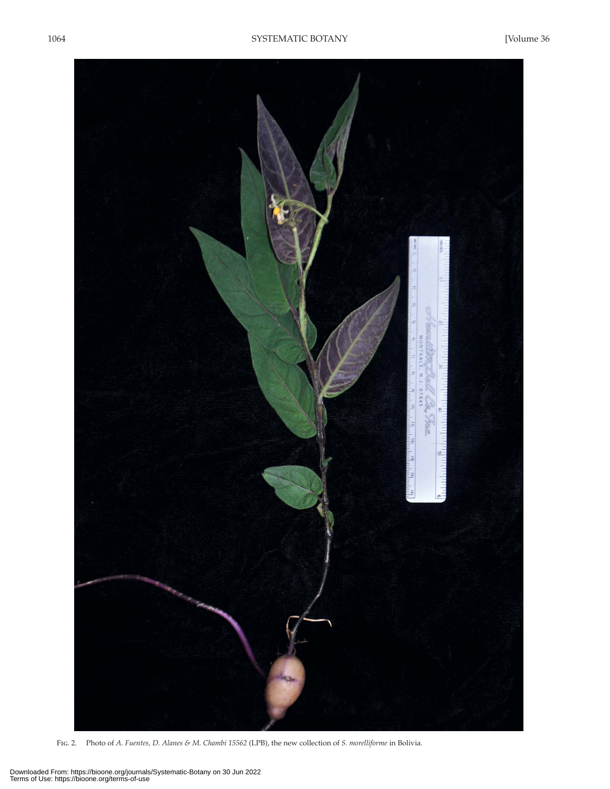

Fig. 2. Photo of *A. Fuentes, D. Alanes & M. Chambi 15562* (LPB), the new collection of *S. morelliforme* in Bolivia.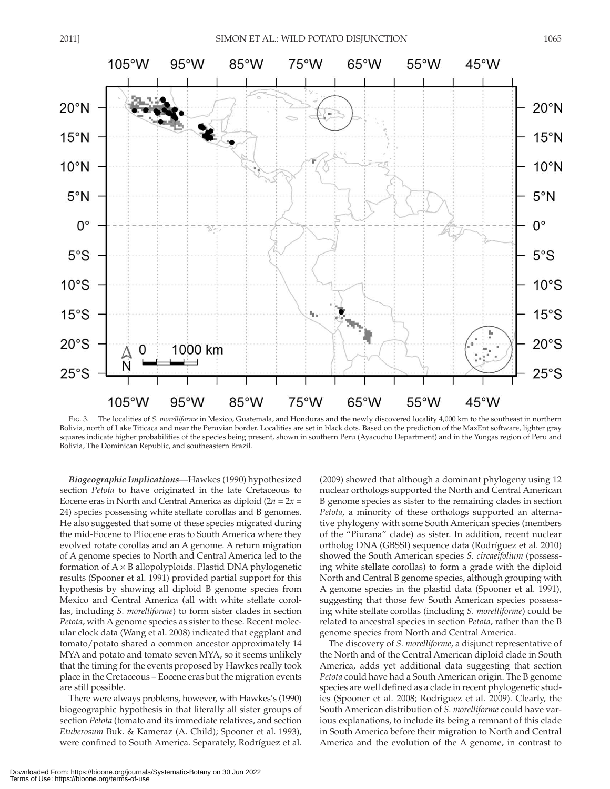

 Fig. 3. The localities of *S. morelliforme* in Mexico, Guatemala, and Honduras and the newly discovered locality 4,000 km to the southeast in northern Bolivia, north of Lake Titicaca and near the Peruvian border. Localities are set in black dots. Based on the prediction of the MaxEnt software, lighter gray squares indicate higher probabilities of the species being present, shown in southern Peru (Ayacucho Department) and in the Yungas region of Peru and Bolivia, The Dominican Republic, and southeastern Brazil.

 *Biogeographic Implications—* Hawkes (1990) hypothesized section *Petota* to have originated in the late Cretaceous to Eocene eras in North and Central America as diploid  $(2n = 2x =$ 24) species possessing white stellate corollas and B genomes. He also suggested that some of these species migrated during the mid-Eocene to Pliocene eras to South America where they evolved rotate corollas and an A genome. A return migration of A genome species to North and Central America led to the formation of  $A \times B$  allopolyploids. Plastid DNA phylogenetic results (Spooner et al. 1991) provided partial support for this hypothesis by showing all diploid B genome species from Mexico and Central America (all with white stellate corollas, including *S. morelliforme*) to form sister clades in section *Petota*, with A genome species as sister to these. Recent molecular clock data (Wang et al. 2008) indicated that eggplant and tomato/potato shared a common ancestor approximately 14 MYA and potato and tomato seven MYA, so it seems unlikely that the timing for the events proposed by Hawkes really took place in the Cretaceous – Eocene eras but the migration events are still possible.

 There were always problems, however, with Hawkes's (1990) biogeographic hypothesis in that literally all sister groups of section *Petota* (tomato and its immediate relatives, and section *Etuberosum* Buk. & Kameraz (A. Child); Spooner et al. 1993 ), were confined to South America. Separately, Rodríguez et al. (2009) showed that although a dominant phylogeny using 12 nuclear orthologs supported the North and Central American B genome species as sister to the remaining clades in section *Petota*, a minority of these orthologs supported an alternative phylogeny with some South American species (members of the "Piurana" clade) as sister. In addition, recent nuclear ortholog DNA (GBSSI) sequence data (Rodríguez et al. 2010) showed the South American species *S. circaeifolium* (possessing white stellate corollas) to form a grade with the diploid North and Central B genome species, although grouping with A genome species in the plastid data (Spooner et al. 1991), suggesting that those few South American species possessing white stellate corollas (including *S. morelliforme*) could be related to ancestral species in section *Petota*, rather than the B genome species from North and Central America.

 The discovery of *S. morelliforme* , a disjunct representative of the North and of the Central American diploid clade in South America, adds yet additional data suggesting that section *Petota* could have had a South American origin. The B genome species are well defined as a clade in recent phylogenetic studies (Spooner et al. 2008; Rodriguez et al. 2009). Clearly, the South American distribution of *S. morelliforme* could have various explanations, to include its being a remnant of this clade in South America before their migration to North and Central America and the evolution of the A genome, in contrast to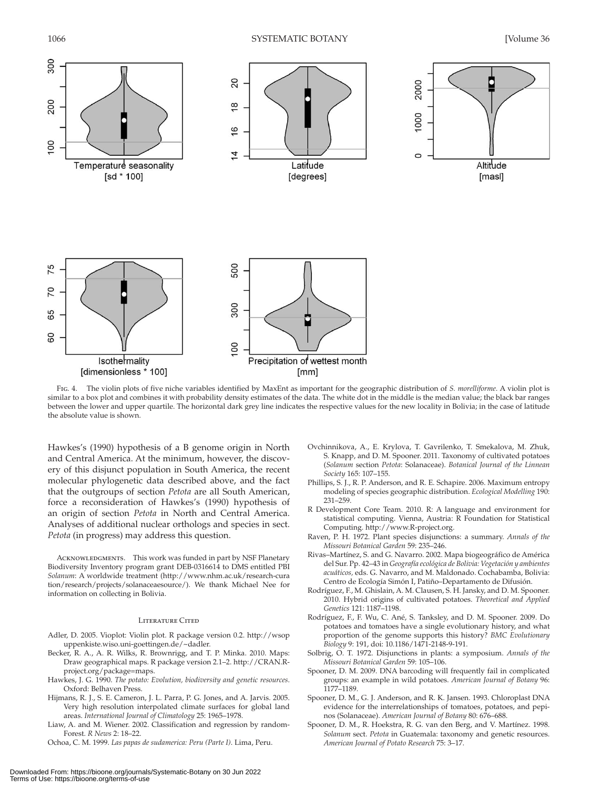

 Fig. 4. The violin plots of five niche variables identified by MaxEnt as important for the geographic distribution of *S. morelliforme* . A violin plot is similar to a box plot and combines it with probability density estimates of the data. The white dot in the middle is the median value; the black bar ranges between the lower and upper quartile. The horizontal dark grey line indicates the respective values for the new locality in Bolivia; in the case of latitude the absolute value is shown.

Hawkes's (1990) hypothesis of a B genome origin in North and Central America. At the minimum, however, the discovery of this disjunct population in South America, the recent molecular phylogenetic data described above, and the fact that the outgroups of section *Petota* are all South American, force a reconsideration of Hawkes's (1990) hypothesis of an origin of section *Petota* in North and Central America. Analyses of additional nuclear orthologs and species in sect. *Petota* (in progress) may address this question.

ACKNOWLEDGMENTS. This work was funded in part by NSF Planetary Biodiversity Inventory program grant DEB-0316614 to DMS entitled PBI *Solanum* : A worldwide treatment ( http://www.nhm.ac.uk/research-cura tion/research/projects/solanaceaesource/ ). We thank Michael Nee for information on collecting in Bolivia.

#### Literature Cited

- Adler, D. 2005. Vioplot: Violin plot. R package version 0.2. http://wsop uppenkiste.wiso.uni-goettingen.de/~dadler .
- Becker, R. A., A. R. Wilks, R. Brownrigg, and T. P. Minka. 2010. Maps: Draw geographical maps. R package version 2.1-2. http://CRAN.Rproject.org/package=maps .
- Hawkes, J. G. 1990. *The potato: Evolution, biodiversity and genetic resources*. Oxford: Belhaven Press.
- Hijmans, R. J., S. E. Cameron, J. L. Parra, P. G. Jones, and A. Jarvis. 2005. Very high resolution interpolated climate surfaces for global land areas. *International Journal of Climatology* 25: 1965-1978.
- Liaw, A. and M. Wiener. 2002. Classification and regression by random-Forest. *R News* 2: 18-22.
- Ochoa, C. M. 1999. Las papas de sudamerica: Peru (Parte I). Lima, Peru.
- Ovchinnikova, A., E. Krylova, T. Gavrilenko, T. Smekalova, M. Zhuk, S. Knapp, and D. M. Spooner. 2011. Taxonomy of cultivated potatoes (*Solanum* section *Petota* : Solanaceae) . *Botanical Journal of the Linnean Society* 165: 107 – 155 .
- Phillips, S. J., R. P. Anderson, and R. E. Schapire. 2006. Maximum entropy modeling of species geographic distribution . *Ecological Modelling* 190: 231-259
- R Development Core Team. 2010. R: A language and environment for statistical computing. Vienna, Austria: R Foundation for Statistical Computing. http://www.R-project.org.
- Raven, P. H. 1972. Plant species disjunctions: a summary. Annals of the *Missouri Botanical Garden* 59: 235 – 246 .
- Rivas–Martínez, S. and G. Navarro . 2002 . Mapa biogeográfico de América del Sur . Pp. 42 – 43 in *Geografía ecológica de Bolivia: Vegetación y ambientes*  acuáticos, eds. G. Navarro, and M. Maldonado. Cochabamba, Bolivia: Centro de Ecología Simón I, Patiño–Departamento de Difusión .
- Rodríguez, F., M. Ghislain, A. M. Clausen, S. H. Jansky, and D. M. Spooner. 2010 . Hybrid origins of cultivated potatoes . *Theoretical and Applied Genetics* 121: 1187 – 1198 .
- Rodríguez, F., F. Wu, C. Ané, S. Tanksley, and D. M. Spooner. 2009. Do potatoes and tomatoes have a single evolutionary history, and what proportion of the genome supports this history? *BMC Evolutionary Biology* 9: 191 , doi: 10.1186/1471-2148-9-191.
- Solbrig, O. T. 1972. Disjunctions in plants: a symposium. Annals of the *Missouri Botanical Garden* 59: 105-106.
- Spooner, D. M. 2009. DNA barcoding will frequently fail in complicated groups: an example in wild potatoes . *American Journal of Botany* 96: 1177-1189.
- Spooner, D. M., G. J. Anderson, and R. K. Jansen. 1993. Chloroplast DNA evidence for the interrelationships of tomatoes, potatoes, and pepinos (Solanaceae) . *American Journal of Botany* 80: 676 – 688 .
- Spooner, D. M., R. Hoekstra, R. G. van den Berg, and V. Martínez. 1998. *Solanum* sect. *Petota* in Guatemala: taxonomy and genetic resources . American Journal of Potato Research 75: 3-17.